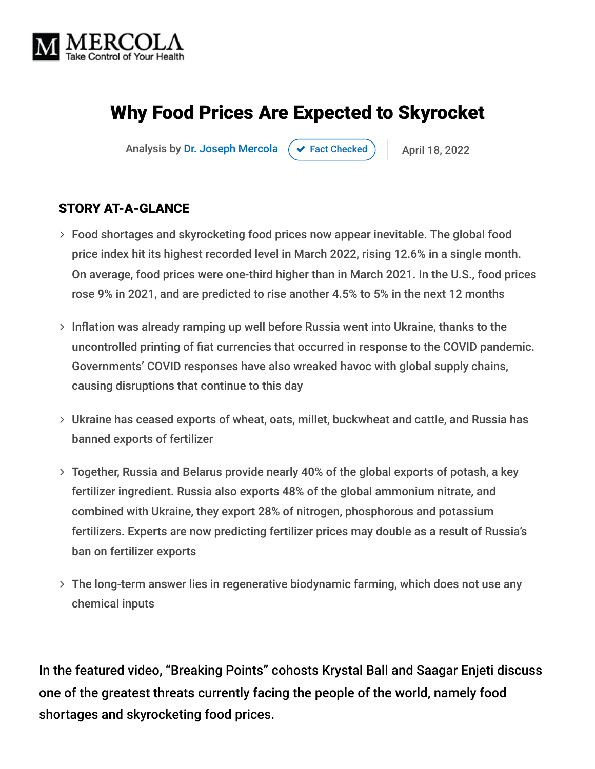

# Why Food Prices Are Expected to Skyrocket

Analysis by [Dr. Joseph Mercola](https://www.mercola.com/forms/background.htm)  $\rightarrow$  [Fact Checked](javascript:void(0))  $\rightarrow$  April 18, 2022

#### STORY AT-A-GLANCE

- Food shortages and skyrocketing food prices now appear inevitable. The global food price index hit its highest recorded level in March 2022, rising 12.6% in a single month. On average, food prices were one-third higher than in March 2021. In the U.S., food prices rose 9% in 2021, and are predicted to rise another 4.5% to 5% in the next 12 months
- $>$  Inflation was already ramping up well before Russia went into Ukraine, thanks to the uncontrolled printing of fiat currencies that occurred in response to the COVID pandemic. Governments' COVID responses have also wreaked havoc with global supply chains, causing disruptions that continue to this day
- Ukraine has ceased exports of wheat, oats, millet, buckwheat and cattle, and Russia has banned exports of fertilizer
- Together, Russia and Belarus provide nearly 40% of the global exports of potash, a key fertilizer ingredient. Russia also exports 48% of the global ammonium nitrate, and combined with Ukraine, they export 28% of nitrogen, phosphorous and potassium fertilizers. Experts are now predicting fertilizer prices may double as a result of Russia's ban on fertilizer exports
- The long-term answer lies in regenerative biodynamic farming, which does not use any chemical inputs

In the featured video, "Breaking Points" cohosts Krystal Ball and Saagar Enjeti discuss one of the greatest threats currently facing the people of the world, namely food shortages and skyrocketing food prices.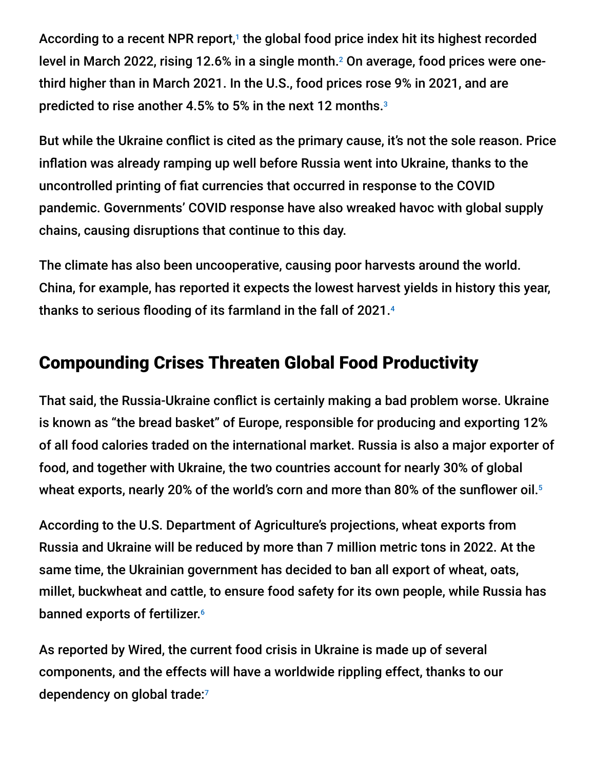According to a recent NPR report,<sup>1</sup> the global food price index hit its highest recorded level in March 2022, rising 12.6% in a single month.<sup>2</sup> On average, food prices were onethird higher than in March 2021. In the U.S., food prices rose 9% in 2021, and are predicted to rise another 4.5% to 5% in the next 12 months. 3

But while the Ukraine conflict is cited as the primary cause, it's not the sole reason. Price inflation was already ramping up well before Russia went into Ukraine, thanks to the uncontrolled printing of fiat currencies that occurred in response to the COVID pandemic. Governments' COVID response have also wreaked havoc with global supply chains, causing disruptions that continue to this day.

The climate has also been uncooperative, causing poor harvests around the world. China, for example, has reported it expects the lowest harvest yields in history this year, thanks to serious flooding of its farmland in the fall of 2021. 4

## Compounding Crises Threaten Global Food Productivity

That said, the Russia-Ukraine conflict is certainly making a bad problem worse. Ukraine is known as "the bread basket" of Europe, responsible for producing and exporting 12% of all food calories traded on the international market. Russia is also a major exporter of food, and together with Ukraine, the two countries account for nearly 30% of global wheat exports, nearly 20% of the world's corn and more than 80% of the sunflower oil. 5

According to the U.S. Department of Agriculture's projections, wheat exports from Russia and Ukraine will be reduced by more than 7 million metric tons in 2022. At the same time, the Ukrainian government has decided to ban all export of wheat, oats, millet, buckwheat and cattle, to ensure food safety for its own people, while Russia has banned exports of fertilizer. 6

As reported by Wired, the current food crisis in Ukraine is made up of several components, and the effects will have a worldwide rippling effect, thanks to our dependency on global trade: 7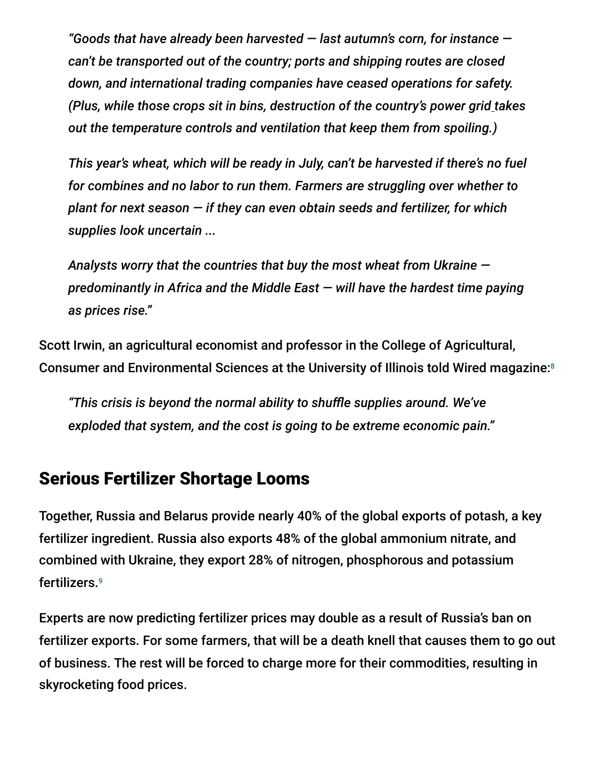*"Goods that have already been harvested — last autumn's corn, for instance can't be transported out of the country; ports and shipping routes are closed down, and international trading companies have ceased operations for safety. (Plus, while those crops sit in bins, destruction of the country's power grid takes out the temperature controls and ventilation that keep them from spoiling.)*

*This year's wheat, which will be ready in July, can't be harvested if there's no fuel for combines and no labor to run them. Farmers are struggling over whether to plant for next season — if they can even obtain seeds and fertilizer, for which supplies look uncertain ...*

*Analysts worry that the countries that buy the most wheat from Ukraine predominantly in Africa and the Middle East — will have the hardest time paying as prices rise."*

Scott Irwin, an agricultural economist and professor in the College of Agricultural, Consumer and Environmental Sciences at the University of Illinois told Wired magazine: 8

*"This crisis is beyond the normal ability to shuffle supplies around. We've exploded that system, and the cost is going to be extreme economic pain."*

#### Serious Fertilizer Shortage Looms

Together, Russia and Belarus provide nearly 40% of the global exports of potash, a key fertilizer ingredient. Russia also exports 48% of the global ammonium nitrate, and combined with Ukraine, they export 28% of nitrogen, phosphorous and potassium fertilizers. 9

Experts are now predicting fertilizer prices may double as a result of Russia's ban on fertilizer exports. For some farmers, that will be a death knell that causes them to go out of business. The rest will be forced to charge more for their commodities, resulting in skyrocketing food prices.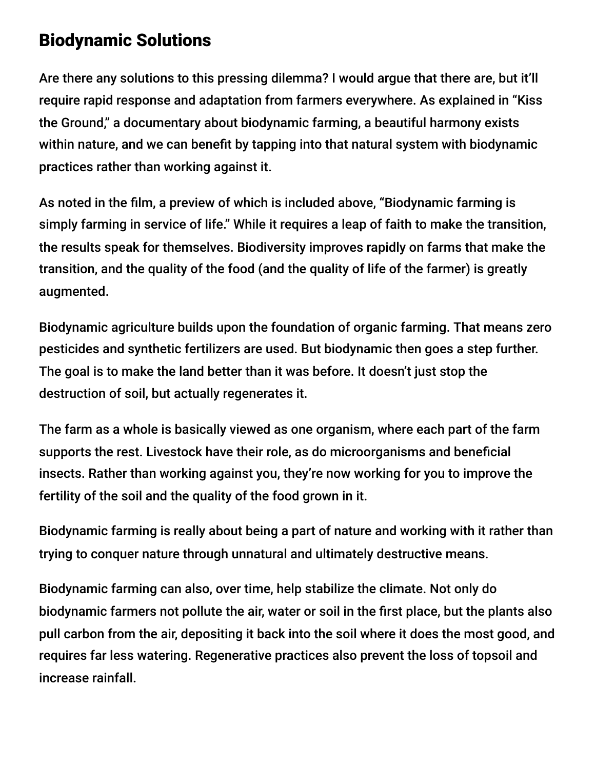### Biodynamic Solutions

Are there any solutions to this pressing dilemma? I would argue that there are, but it'll require rapid response and adaptation from farmers everywhere. As explained in "Kiss the Ground," a documentary about biodynamic farming, a beautiful harmony exists within nature, and we can benefit by tapping into that natural system with biodynamic practices rather than working against it.

As noted in the film, a preview of which is included above, "Biodynamic farming is simply farming in service of life." While it requires a leap of faith to make the transition, the results speak for themselves. Biodiversity improves rapidly on farms that make the transition, and the quality of the food (and the quality of life of the farmer) is greatly augmented.

Biodynamic agriculture builds upon the foundation of organic farming. That means zero pesticides and synthetic fertilizers are used. But biodynamic then goes a step further. The goal is to make the land better than it was before. It doesn't just stop the destruction of soil, but actually regenerates it.

The farm as a whole is basically viewed as one organism, where each part of the farm supports the rest. Livestock have their role, as do microorganisms and beneficial insects. Rather than working against you, they're now working for you to improve the fertility of the soil and the quality of the food grown in it.

Biodynamic farming is really about being a part of nature and working with it rather than trying to conquer nature through unnatural and ultimately destructive means.

Biodynamic farming can also, over time, help stabilize the climate. Not only do biodynamic farmers not pollute the air, water or soil in the first place, but the plants also pull carbon from the air, depositing it back into the soil where it does the most good, and requires far less watering. Regenerative practices also prevent the loss of topsoil and increase rainfall.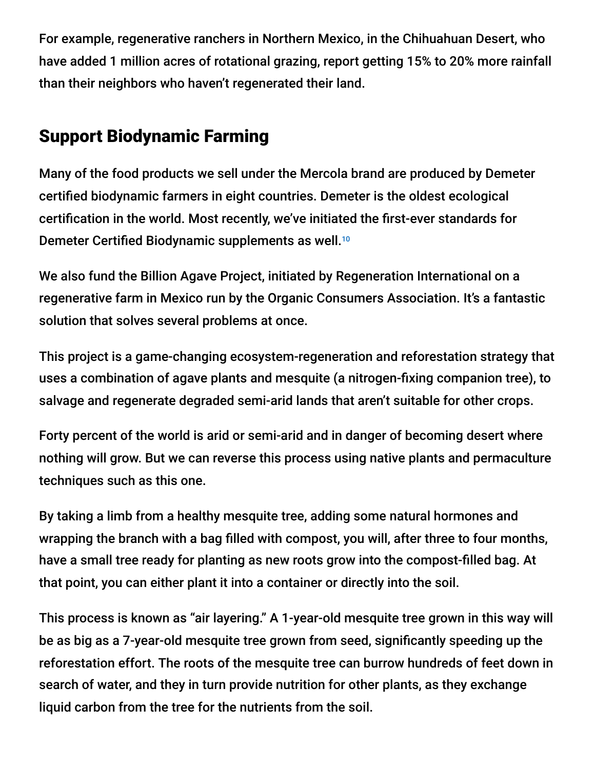For example, regenerative ranchers in Northern Mexico, in the Chihuahuan Desert, who have added 1 million acres of rotational grazing, report getting 15% to 20% more rainfall than their neighbors who haven't regenerated their land.

# Support Biodynamic Farming

Many of the food products we sell under the Mercola brand are produced by Demeter certified biodynamic farmers in eight countries. Demeter is the oldest ecological certification in the world. Most recently, we've initiated the first-ever standards for Demeter Certified Biodynamic supplements as well. 10

We also fund the Billion Agave Project, initiated by Regeneration International on a regenerative farm in Mexico run by the Organic Consumers Association. It's a fantastic solution that solves several problems at once.

This project is a game-changing ecosystem-regeneration and reforestation strategy that uses a combination of agave plants and mesquite (a nitrogen-fixing companion tree), to salvage and regenerate degraded semi-arid lands that aren't suitable for other crops.

Forty percent of the world is arid or semi-arid and in danger of becoming desert where nothing will grow. But we can reverse this process using native plants and permaculture techniques such as this one.

By taking a limb from a healthy mesquite tree, adding some natural hormones and wrapping the branch with a bag filled with compost, you will, after three to four months, have a small tree ready for planting as new roots grow into the compost-filled bag. At that point, you can either plant it into a container or directly into the soil.

This process is known as "air layering." A 1-year-old mesquite tree grown in this way will be as big as a 7-year-old mesquite tree grown from seed, significantly speeding up the reforestation effort. The roots of the mesquite tree can burrow hundreds of feet down in search of water, and they in turn provide nutrition for other plants, as they exchange liquid carbon from the tree for the nutrients from the soil.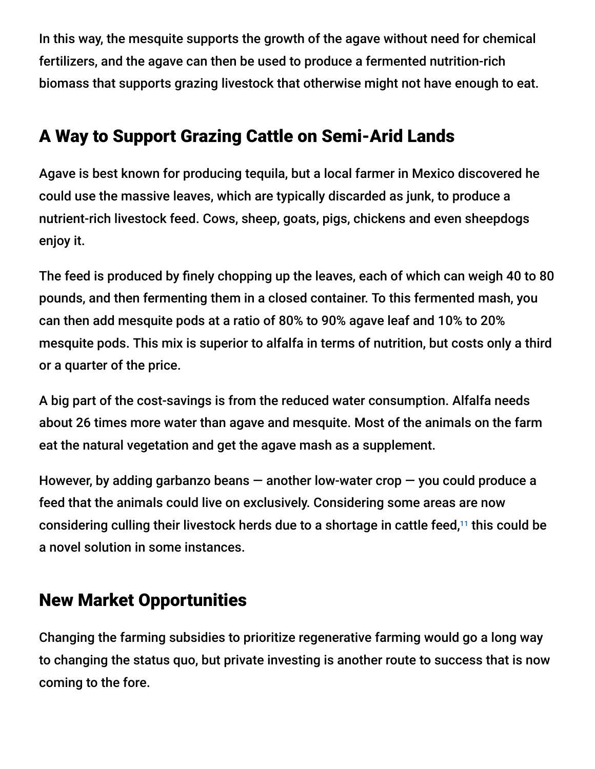In this way, the mesquite supports the growth of the agave without need for chemical fertilizers, and the agave can then be used to produce a fermented nutrition-rich biomass that supports grazing livestock that otherwise might not have enough to eat.

# A Way to Support Grazing Cattle on Semi-Arid Lands

Agave is best known for producing tequila, but a local farmer in Mexico discovered he could use the massive leaves, which are typically discarded as junk, to produce a nutrient-rich livestock feed. Cows, sheep, goats, pigs, chickens and even sheepdogs enjoy it.

The feed is produced by finely chopping up the leaves, each of which can weigh 40 to 80 pounds, and then fermenting them in a closed container. To this fermented mash, you can then add mesquite pods at a ratio of 80% to 90% agave leaf and 10% to 20% mesquite pods. This mix is superior to alfalfa in terms of nutrition, but costs only a third or a quarter of the price.

A big part of the cost-savings is from the reduced water consumption. Alfalfa needs about 26 times more water than agave and mesquite. Most of the animals on the farm eat the natural vegetation and get the agave mash as a supplement.

However, by adding garbanzo beans  $-$  another low-water crop  $-$  you could produce a feed that the animals could live on exclusively. Considering some areas are now considering culling their livestock herds due to a shortage in cattle feed,<sup>11</sup> this could be a novel solution in some instances.

# New Market Opportunities

Changing the farming subsidies to prioritize regenerative farming would go a long way to changing the status quo, but private investing is another route to success that is now coming to the fore.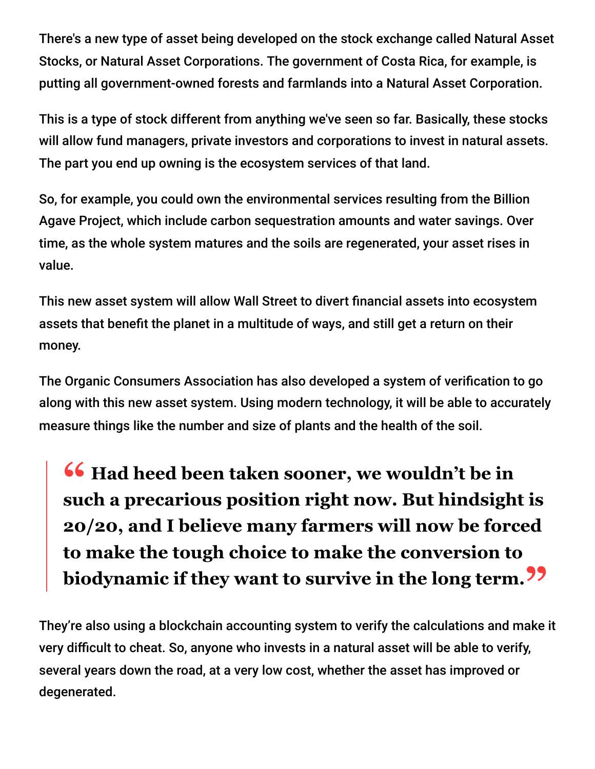There's a new type of asset being developed on the stock exchange called Natural Asset Stocks, or Natural Asset Corporations. The government of Costa Rica, for example, is putting all government-owned forests and farmlands into a Natural Asset Corporation.

This is a type of stock different from anything we've seen so far. Basically, these stocks will allow fund managers, private investors and corporations to invest in natural assets. The part you end up owning is the ecosystem services of that land.

So, for example, you could own the environmental services resulting from the Billion Agave Project, which include carbon sequestration amounts and water savings. Over time, as the whole system matures and the soils are regenerated, your asset rises in value.

This new asset system will allow Wall Street to divert financial assets into ecosystem assets that benefit the planet in a multitude of ways, and still get a return on their money.

The Organic Consumers Association has also developed a system of verification to go along with this new asset system. Using modern technology, it will be able to accurately measure things like the number and size of plants and the health of the soil.

**<sup>66</sup>** Had heed been taken sooner, we wouldn't be in<br>such a precarious position right now Rut hindsigh **such a precarious position right now. But hindsight is 20/20, and I believe many farmers will now be forced to make the tough choice to make the conversion to biodynamic if they want to survive in the long term."**

They're also using a blockchain accounting system to verify the calculations and make it very difficult to cheat. So, anyone who invests in a natural asset will be able to verify, several years down the road, at a very low cost, whether the asset has improved or degenerated.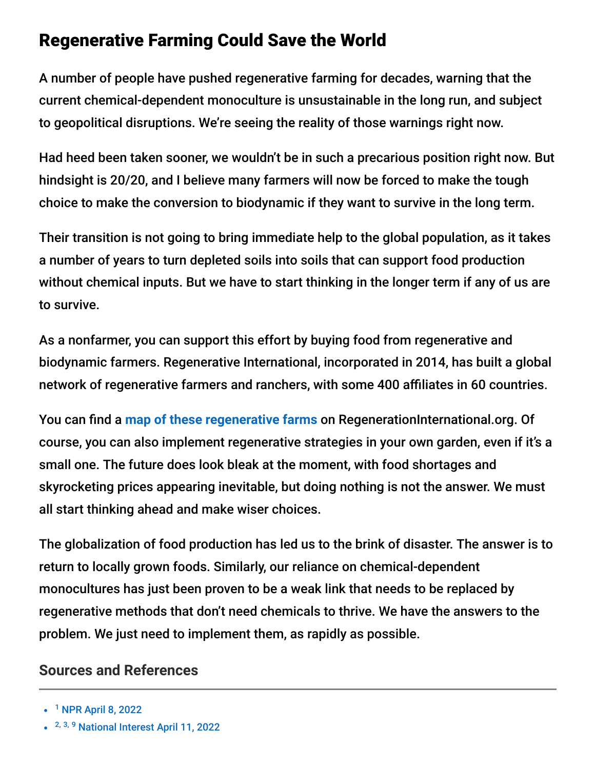### Regenerative Farming Could Save the World

A number of people have pushed regenerative farming for decades, warning that the current chemical-dependent monoculture is unsustainable in the long run, and subject to geopolitical disruptions. We're seeing the reality of those warnings right now.

Had heed been taken sooner, we wouldn't be in such a precarious position right now. But hindsight is 20/20, and I believe many farmers will now be forced to make the tough choice to make the conversion to biodynamic if they want to survive in the long term.

Their transition is not going to bring immediate help to the global population, as it takes a number of years to turn depleted soils into soils that can support food production without chemical inputs. But we have to start thinking in the longer term if any of us are to survive.

As a nonfarmer, you can support this effort by buying food from regenerative and biodynamic farmers. Regenerative International, incorporated in 2014, has built a global network of regenerative farmers and ranchers, with some 400 affiliates in 60 countries.

You can find a [map of these regenerative farms](https://regenerationinternational.org/regenerative-farm-map) on RegenerationInternational.org. Of course, you can also implement regenerative strategies in your own garden, even if it's a small one. The future does look bleak at the moment, with food shortages and skyrocketing prices appearing inevitable, but doing nothing is not the answer. We must all start thinking ahead and make wiser choices.

The globalization of food production has led us to the brink of disaster. The answer is to return to locally grown foods. Similarly, our reliance on chemical-dependent monocultures has just been proven to be a weak link that needs to be replaced by regenerative methods that don't need chemicals to thrive. We have the answers to the problem. We just need to implement them, as rapidly as possible.

#### **Sources and References**

<sup>&</sup>lt;sup>1</sup> [NPR April 8, 2022](https://www.npr.org/2022/04/08/1091705608/global-food-prices-record-high-ukraine-war)

<sup>&</sup>lt;sup>2, 3, 9</sup> [National Interest April 11, 2022](https://nationalinterest.org/blog/politics/fertilizer-shortage-driving-food-prices-new-heights-201747)